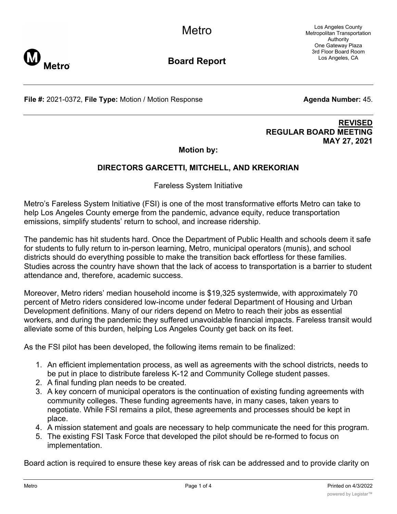Los Angeles County Metropolitan Transportation Authority One Gateway Plaza 3rd Floor Board Room Los Angeles, CA



**Board Report**

**File #:** 2021-0372, File Type: Motion / Motion Response **Agenda Number:** 45.

## **REVISED REGULAR BOARD MEETING MAY 27, 2021**

**Motion by:**

# **DIRECTORS GARCETTI, MITCHELL, AND KREKORIAN**

Fareless System Initiative

Metro's Fareless System Initiative (FSI) is one of the most transformative efforts Metro can take to help Los Angeles County emerge from the pandemic, advance equity, reduce transportation emissions, simplify students' return to school, and increase ridership.

The pandemic has hit students hard. Once the Department of Public Health and schools deem it safe for students to fully return to in-person learning, Metro, municipal operators (munis), and school districts should do everything possible to make the transition back effortless for these families. Studies across the country have shown that the lack of access to transportation is a barrier to student attendance and, therefore, academic success.

Moreover, Metro riders' median household income is \$19,325 systemwide, with approximately 70 percent of Metro riders considered low-income under federal Department of Housing and Urban Development definitions. Many of our riders depend on Metro to reach their jobs as essential workers, and during the pandemic they suffered unavoidable financial impacts. Fareless transit would alleviate some of this burden, helping Los Angeles County get back on its feet.

As the FSI pilot has been developed, the following items remain to be finalized:

- 1. An efficient implementation process, as well as agreements with the school districts, needs to be put in place to distribute fareless K-12 and Community College student passes.
- 2. A final funding plan needs to be created.
- 3. A key concern of municipal operators is the continuation of existing funding agreements with community colleges. These funding agreements have, in many cases, taken years to negotiate. While FSI remains a pilot, these agreements and processes should be kept in place.
- 4. A mission statement and goals are necessary to help communicate the need for this program.
- 5. The existing FSI Task Force that developed the pilot should be re-formed to focus on implementation.

Board action is required to ensure these key areas of risk can be addressed and to provide clarity on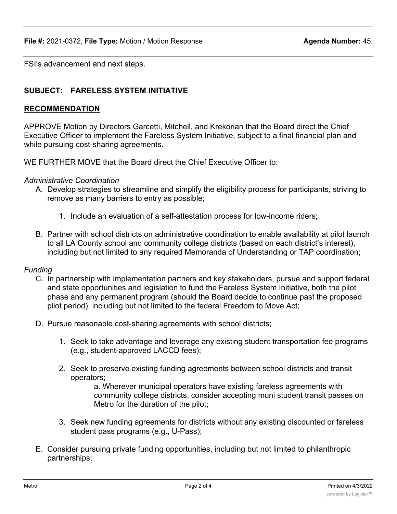FSI's advancement and next steps.

# **SUBJECT: FARELESS SYSTEM INITIATIVE**

### **RECOMMENDATION**

APPROVE Motion by Directors Garcetti, Mitchell, and Krekorian that the Board direct the Chief Executive Officer to implement the Fareless System Initiative, subject to a final financial plan and while pursuing cost-sharing agreements.

WE FURTHER MOVE that the Board direct the Chief Executive Officer to:

#### *Administrative Coordination*

- A. Develop strategies to streamline and simplify the eligibility process for participants, striving to remove as many barriers to entry as possible;
	- 1. Include an evaluation of a self-attestation process for low-income riders;
- B. Partner with school districts on administrative coordination to enable availability at pilot launch to all LA County school and community college districts (based on each district's interest), including but not limited to any required Memoranda of Understanding or TAP coordination;

### *Funding*

- C. In partnership with implementation partners and key stakeholders, pursue and support federal and state opportunities and legislation to fund the Fareless System Initiative, both the pilot phase and any permanent program (should the Board decide to continue past the proposed pilot period), including but not limited to the federal Freedom to Move Act;
- D. Pursue reasonable cost-sharing agreements with school districts;
	- 1. Seek to take advantage and leverage any existing student transportation fee programs (e.g., student-approved LACCD fees);
	- 2. Seek to preserve existing funding agreements between school districts and transit operators;

a. Wherever municipal operators have existing fareless agreements with community college districts, consider accepting muni student transit passes on Metro for the duration of the pilot;

- 3. Seek new funding agreements for districts without any existing discounted or fareless student pass programs (e.g., U-Pass);
- E. Consider pursuing private funding opportunities, including but not limited to philanthropic partnerships;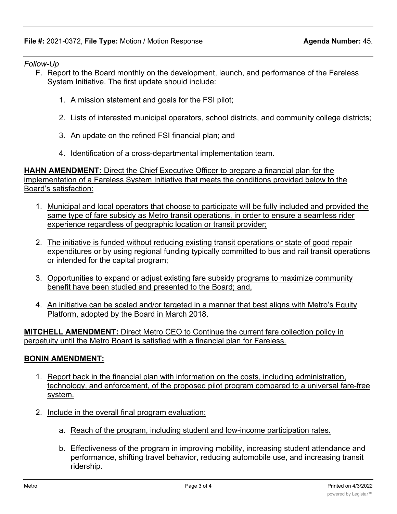## *Follow-Up*

- F. Report to the Board monthly on the development, launch, and performance of the Fareless System Initiative. The first update should include:
	- 1. A mission statement and goals for the FSI pilot;
	- 2. Lists of interested municipal operators, school districts, and community college districts;
	- 3. An update on the refined FSI financial plan; and
	- 4. Identification of a cross-departmental implementation team.

**HAHN AMENDMENT:** Direct the Chief Executive Officer to prepare a financial plan for the implementation of a Fareless System Initiative that meets the conditions provided below to the Board's satisfaction:

- 1. Municipal and local operators that choose to participate will be fully included and provided the same type of fare subsidy as Metro transit operations, in order to ensure a seamless rider experience regardless of geographic location or transit provider;
- 2. The initiative is funded without reducing existing transit operations or state of good repair expenditures or by using regional funding typically committed to bus and rail transit operations or intended for the capital program;
- 3. Opportunities to expand or adjust existing fare subsidy programs to maximize community benefit have been studied and presented to the Board; and,
- 4. An initiative can be scaled and/or targeted in a manner that best aligns with Metro's Equity Platform, adopted by the Board in March 2018.

**MITCHELL AMENDMENT:** Direct Metro CEO to Continue the current fare collection policy in perpetuity until the Metro Board is satisfied with a financial plan for Fareless.

## **BONIN AMENDMENT:**

- 1. Report back in the financial plan with information on the costs, including administration, technology, and enforcement, of the proposed pilot program compared to a universal fare-free system.
- 2. Include in the overall final program evaluation:
	- a. Reach of the program, including student and low-income participation rates.
	- b. Effectiveness of the program in improving mobility, increasing student attendance and performance, shifting travel behavior, reducing automobile use, and increasing transit ridership.